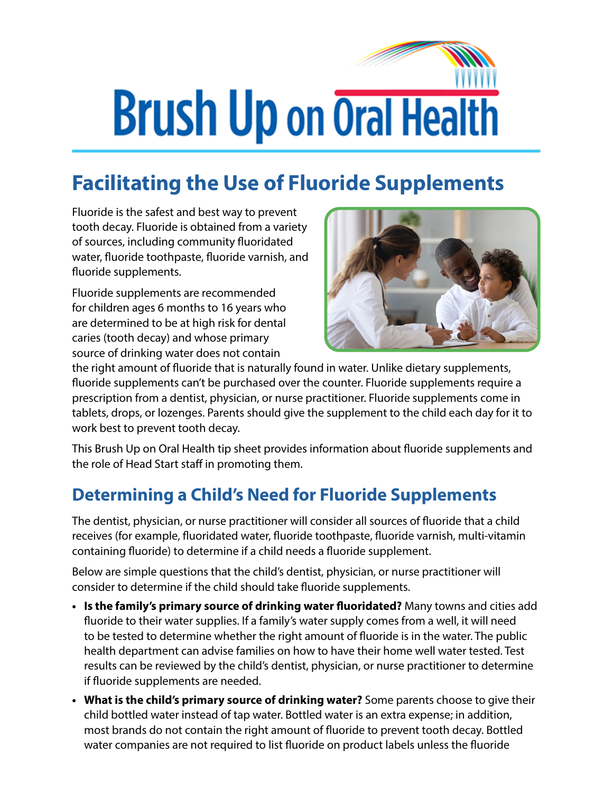## **Brush Up on Oral Health**

## **Facilitating the Use of Fluoride Supplements**

Fluoride is the safest and best way to prevent tooth decay. Fluoride is obtained from a variety of sources, including community fluoridated water, fluoride toothpaste, fluoride varnish, and fluoride supplements.

Fluoride supplements are recommended for children ages 6 months to 16 years who are determined to be at high risk for dental caries (tooth decay) and whose primary source of drinking water does not contain



the right amount of fluoride that is naturally found in water. Unlike dietary supplements, fluoride supplements can't be purchased over the counter. Fluoride supplements require a prescription from a dentist, physician, or nurse practitioner. Fluoride supplements come in tablets, drops, or lozenges. Parents should give the supplement to the child each day for it to work best to prevent tooth decay.

This Brush Up on Oral Health tip sheet provides information about fluoride supplements and the role of Head Start staff in promoting them.

## **Determining a Child's Need for Fluoride Supplements**

The dentist, physician, or nurse practitioner will consider all sources of fluoride that a child receives (for example, fluoridated water, fluoride toothpaste, fluoride varnish, multi-vitamin containing fluoride) to determine if a child needs a fluoride supplement.

Below are simple questions that the child's dentist, physician, or nurse practitioner will consider to determine if the child should take fluoride supplements.

- **• Is the family's primary source of drinking water fluoridated?** Many towns and cities add fluoride to their water supplies. If a family's water supply comes from a well, it will need to be tested to determine whether the right amount of fluoride is in the water. The public health department can advise families on how to have their home well water tested. Test results can be reviewed by the child's dentist, physician, or nurse practitioner to determine if fluoride supplements are needed.
- **• What is the child's primary source of drinking water?** Some parents choose to give their child bottled water instead of tap water. Bottled water is an extra expense; in addition, most brands do not contain the right amount of fluoride to prevent tooth decay. Bottled water companies are not required to list fluoride on product labels unless the fluoride